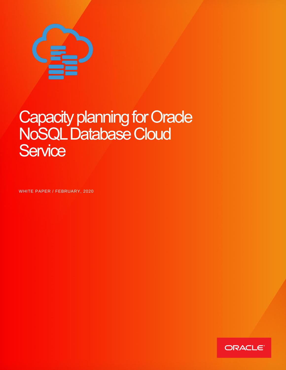

# Capacity planning for Oracle NoSQL Database Cloud **Service**

<span id="page-0-0"></span>WHITE PAPER / FEBRUARY, 2020

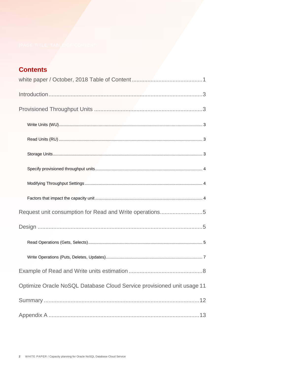## **Contents**

| Request unit consumption for Read and Write operations5                |
|------------------------------------------------------------------------|
|                                                                        |
|                                                                        |
|                                                                        |
|                                                                        |
| Optimize Oracle NoSQL Database Cloud Service provisioned unit usage 11 |
|                                                                        |
|                                                                        |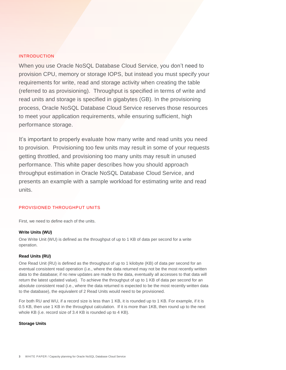#### <span id="page-2-0"></span>INTRODUCTION

When you use Oracle NoSQL Database Cloud Service, you don't need to provision CPU, memory or storage IOPS, but instead you must specify your requirements for write, read and storage activity when creating the table (referred to as provisioning). Throughput is specified in terms of write and read units and storage is specified in gigabytes (GB). In the provisioning process, Oracle NoSQL Database Cloud Service reserves those resources to meet your application requirements, while ensuring sufficient, high performance storage.

It's important to properly evaluate how many write and read units you need to provision. Provisioning too few units may result in some of your requests getting throttled, and provisioning too many units may result in unused performance. This white paper describes how you should approach throughput estimation in Oracle NoSQL Database Cloud Service, and presents an example with a sample workload for estimating write and read units.

#### <span id="page-2-1"></span>PROVISIONED THROUGHPUT UNITS

First, we need to define each of the units.

#### <span id="page-2-2"></span>**Write Units (WU)**

One Write Unit (WU) is defined as the throughput of up to 1 KB of data per second for a write operation.

#### <span id="page-2-3"></span>**Read Units (RU)**

One Read Unit (RU) is defined as the throughput of up to 1 kilobyte (KB) of data per second for an eventual consistent read operation (i.e., where the data returned may not be the most recently written data to the database; if no new updates are made to the data, eventually all accesses to that data will return the latest updated value). To achieve the throughput of up to 1 KB of data per second for an absolute consistent read (i.e., where the data returned is expected to be the most recently written data to the database), the equivalent of 2 Read Units would need to be provisioned.

For both RU and WU, if a record size is less than 1 KB, it is rounded up to 1 KB. For example, if it is 0.5 KB, then use 1 KB in the throughput calculation. If it is more than 1KB, then round up to the next whole KB (i.e. record size of 3.4 KB is rounded up to 4 KB).

#### <span id="page-2-4"></span>**Storage Units**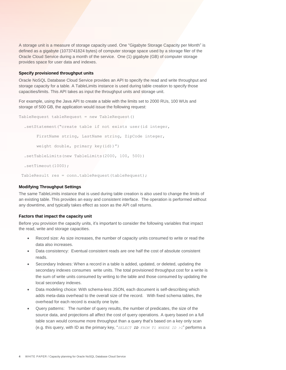A storage unit is a measure of storage capacity used. One "Gigabyte Storage Capacity per Month" is defined as a gigabyte (1073741824 bytes) of computer storage space used by a storage filer of the Oracle Cloud Service during a month of the service. One (1) gigabyte (GB) of computer storage provides space for user data and indexes.

#### <span id="page-3-0"></span>**Specify provisioned throughput units**

Oracle NoSQL Database Cloud Service provides an API to specify the read and write throughput and storage capacity for a table. A TableLimits instance is used during table creation to specify those capacities/limits. This API takes as input the throughput units and storage unit.

For example, using the Java API to create a table with the limits set to 2000 RUs, 100 WUs and storage of 500 GB, the application would issue the following request:

```
TableRequest tableRequest = new TableRequest()
   .setStatement("create table if not exists user(id integer,
        FirstName string, LastName string, ZipCode integer,
        weight double, primary key(id))")
   .setTableLimits(new TableLimits(2000, 100, 500))
   .setTimeout(1000);
TableResult res = conn.tableRequest(tableRequest);
```
#### <span id="page-3-1"></span>**Modifying Throughput Settings**

The same TableLimits instance that is used during table creation is also used to change the limits of an existing table. This provides an easy and consistent interface. The operation is performed without any downtime, and typically takes effect as soon as the API call returns.

#### <span id="page-3-2"></span>**Factors that impact the capacity unit**

Before you provision the capacity units, it's important to consider the following variables that impact the read, write and storage capacities.

- Record size: As size increases, the number of capacity units consumed to write or read the data also increases.
- Data consistency: Eventual consistent reads are one half the cost of absolute consistent reads.
- Secondary Indexes: When a record in a table is added, updated, or deleted, updating the secondary indexes consumes write units. The total provisioned throughput cost for a write is the sum of write units consumed by writing to the table and those consumed by updating the local secondary indexes.
- Data modeling choice: With schema-less JSON, each document is self-describing which adds meta-data overhead to the overall size of the record. With fixed schema tables, the overhead for each record is exactly one byte.
- Query patterns: The number of query results, the number of predicates, the size of the source data, and projections all affect the cost of query operations. A query based on a full table scan would consume more throughput than a query that's based on a key only scan (e.g. this query, with ID as the primary key, "*SELECT ID FROM T1 WHERE ID >1*" performs a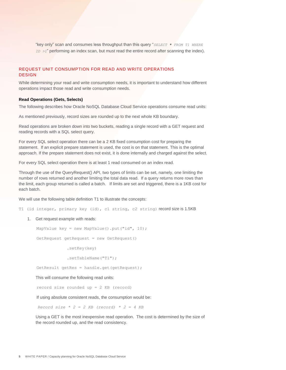"key only" scan and consumes less throughput than this query "*SELECT \* FROM T1 WHERE ID >1*" performing an index scan, but must read the entire record after scanning the index).

### <span id="page-4-1"></span><span id="page-4-0"></span>REQUEST UNIT CONSUMPTION FOR READ AND WRITE OPERATIONS **DESIGN**

While determining your read and write consumption needs, it is important to understand how different operations impact those read and write consumption needs.

#### <span id="page-4-2"></span>**Read Operations (Gets, Selects)**

The following describes how Oracle NoSQL Database Cloud Service operations consume read units:

As mentioned previously, record sizes are rounded up to the next whole KB boundary.

Read operations are broken down into two buckets, reading a single record with a GET request and reading records with a SQL select query.

For every SQL select operation there can be a 2 KB fixed consumption cost for preparing the statement. If an explicit prepare statement is used, the cost is on that statement. This is the optimal approach. If the prepare statement does not exist, it is done internally and charged against the select.

For every SQL select operation there is at least 1 read consumed on an index read.

Through the use of the QueryRequest() API, two types of limits can be set, namely, one limiting the number of rows returned and another limiting the total data read. If a query returns more rows than the limit, each group returned is called a batch. If limits are set and triggered, there is a 1KB cost for each batch.

We will use the following table definition T1 to illustrate the concepts:

T1 (id integer, primary key (id), c1 string, c2 string) record size is 1.5KB

1. Get request example with reads:

```
 MapValue key = new MapValue().put("id", 10);
```

```
 GetRequest getRequest = new GetRequest()
```
.setKey(key)

.setTableName("T1");

GetResult getRes = handle.get(getRequest);

This will consume the following read units:

record size rounded up = 2 KB (record)

If using absolute consistent reads, the consumption would be:

 $Record size * 2 = 2 KB (record) * 2 = 4 KB$ 

Using a GET is the most inexpensive read operation. The cost is determined by the size of the record rounded up, and the read consistency.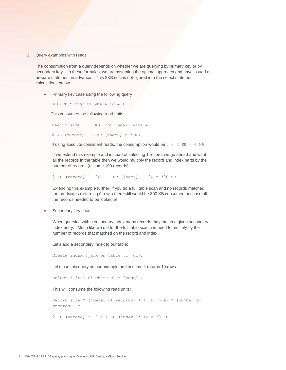2. Query examples with reads

The consumption from a query depends on whether we are querying by primary key or by secondary key. In these formulas, we are assuming the optimal approach and have issued a prepare statement in advance. This 2KB cost is not figured into the select statement calculations below.

• Primary key case using the following query

SELECT  $*$  from t1 where id = 1

This consumes the following read units:

Record size  $+ 1$  KB (for index read) = 2 KB (record) + 1 KB (index) = 3 KB

If using absolute consistent reads, the consumption would be  $2 \times 3$  KB = 6 KB

If we extend this example and instead of selecting 1 record, we go ahead and want all the records in the table then we would multiply the record and index parts by the number of records (assume 100 records).

2 KB (record) \* 100 + 1 KB (index) \* 100 = 300 KB

Extending this example further, if you do a full table scan and no records matched the predicates (returning 0 rows) there still would be 300 KB consumed because all the records needed to be looked at.

Secondary key case

When querying with a secondary index many records may match a given secondary index entry. Much like we did for the full table scan, we need to multiply by the number of records that matched on the record and index.

Let's add a secondary index to our table:

Create index c idx on table t1 (c1);

Let's use this query as our example and assume it returns 10 rows:

select \* from t1 where c1 = "nosql";

This will consume the following read units:

Record size \* (number of records) + 1 KB index \* (number of records) = 2 KB (record) \* 10 + 1 KB (index) \* 10 = 30 KB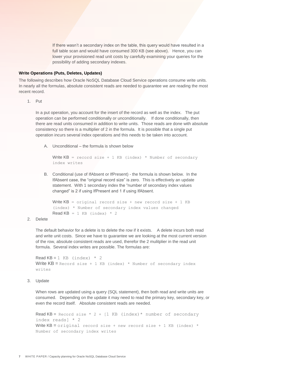If there wasn't a secondary index on the table, this query would have resulted in a full table scan and would have consumed 300 KB (see above). Hence, you can lower your provisioned read unit costs by carefully examining your queries for the possibility of adding secondary indexes.

#### <span id="page-6-0"></span>**Write Operations (Puts, Deletes, Updates)**

The following describes how Oracle NoSQL Database Cloud Service operations consume write units. In nearly all the formulas, absolute consistent reads are needed to guarantee we are reading the most recent record.

1. Put

In a put operation, you account for the insert of the record as well as the index. The put operation can be performed conditionally or unconditionally. If done conditionally, then there are read units consumed in addition to write units. Those reads are done with absolute consistency so there is a multiplier of 2 in the formula. It is possible that a single put operation incurs several index operations and this needs to be taken into account.

A. Unconditional – the formula is shown below

```
Write KB = record size + 1 KB (index) * Number of secondary
index writes
```
B. Conditional (use of IfAbsent or IfPresent) - the formula is shown below. In the IfAbsent case, the "original record size" is zero. This is effectively an update statement. With 1 secondary index the "number of secondary index values changed" is 2 if using IfPresent and 1 if using IfAbsent.

```
Write KB = original record size + new record size + 1 KB
(index) * Number of secondary index values changed
Read KB = 1 KB (index) * 2
```
#### 2. Delete

The default behavior for a delete is to delete the row if it exists. A delete incurs both read and write unit costs. Since we have to guarantee we are looking at the most current version of the row, absolute consistent reads are used, therefor the 2 mulitplier in the read unit formula. Several index writes are possible. The formulas are:

```
Read KB = 1 KB (index) * 2Write KB = Record size + 1 KB (index) * Number of secondary index
writes
```
#### 3. Update

When rows are updated using a query (SQL statement), then both read and write units are consumed. Depending on the update it may need to read the primary key, secondary key, or even the record itself. Absolute consistent reads are needed.

Read KB = Record size  $*$  2 + [1 KB (index) $*$  number of secondary index reads] \* 2 Write  $KB =$  original record size + new record size + 1 KB (index)  $*$ Number of secondary index writes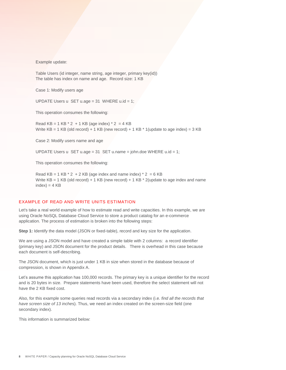Example update:

Table Users (id integer, name string, age integer, primary key(id)) The table has index on name and age. Record size: 1 KB

Case 1: Modify users age

UPDATE Users  $u$  SET  $u \cdot a$ ge = 31 WHERE  $u \cdot id = 1$ ;

This operation consumes the following:

Read  $KB = 1 KB * 2 + 1 KB (age index) * 2 = 4 KB$ Write  $KB = 1$  KB (old record) + 1 KB (new record) + 1 KB  $*$  1 (update to age index) = 3 KB

Case 2: Modify users name and age

UPDATE Users u SET u.age = 31 SET u.name = john.doe WHERE u.id = 1;

This operation consumes the following:

Read KB = 1 KB  $*$  2 + 2 KB (age index and name index)  $*$  2 = 6 KB Write  $KB = 1$  KB (old record) + 1 KB (new record) + 1 KB  $*$  2(update to age index and name  $index) = 4 KB$ 

#### <span id="page-7-0"></span>EXAMPLE OF READ AND WRITE UNITS ESTIMATION

Let's take a real world example of how to estimate read and write capacities. In this example, we are using Oracle NoSQL Database Cloud Service to store a product catalog for an e-commerce application. The process of estimation is broken into the following steps:

**Step 1:** Identify the data model (JSON or fixed-table), record and key size for the application.

We are using a JSON model and have created a simple table with 2 columns: a record identifier (primary key) and JSON document for the product details. There is overhead in this case because each document is self-describing.

The JSON document, which is just under 1 KB in size when stored in the database because of compression, is shown in Appendix A.

Let's assume this application has 100,000 records. The primary key is a unique identifier for the record and is 20 bytes in size. Prepare statements have been used, therefore the select statement will not have the 2 KB fixed cost.

Also, for this example some queries read records via a secondary index (i.e. *find all the records that have screen size of 13 inche*s). Thus, we need an index created on the screen-size field (one secondary index).

This information is summarized below: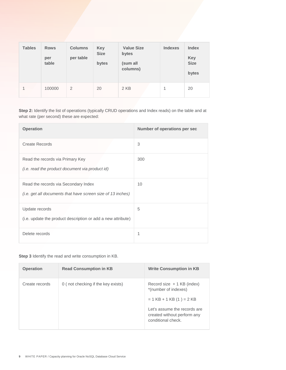| <b>Tables</b> | <b>Rows</b><br>per<br>table | <b>Columns</b><br>per table | <b>Key</b><br><b>Size</b><br>bytes | <b>Value Size</b><br>bytes<br>(sum all<br>columns) | <b>Indexes</b> | <b>Index</b><br><b>Key</b><br><b>Size</b><br>bytes |
|---------------|-----------------------------|-----------------------------|------------------------------------|----------------------------------------------------|----------------|----------------------------------------------------|
| $\mathbf{1}$  | 100000                      | 2                           | 20                                 | 2 KB                                               | 1              | 20                                                 |

**Step 2:** Identify the list of operations (typically CRUD operations and Index reads) on the table and at what rate (per second) these are expected:

| <b>Operation</b>                                                                                    | Number of operations per sec |
|-----------------------------------------------------------------------------------------------------|------------------------------|
| <b>Create Records</b>                                                                               | 3                            |
| Read the records via Primary Key<br>(i.e. read the product document via product id)                 | 300                          |
| Read the records via Secondary Index<br>(i.e. get all documents that have screen size of 13 inches) | 10                           |
| Update records<br>(i.e. update the product description or add a new attribute)                      | 5                            |
| Delete records                                                                                      | 1                            |

**Step 3** Identify the read and write consumption in KB.

| <b>Operation</b> | <b>Read Consumption in KB</b>      | <b>Write Consumption in KB</b>                                                                                                                                         |
|------------------|------------------------------------|------------------------------------------------------------------------------------------------------------------------------------------------------------------------|
| Create records   | 0 (not checking if the key exists) | Record size $+1$ KB (index)<br>*(number of indexes)<br>$= 1$ KB + 1 KB (1) = 2 KB<br>Let's assume the records are<br>created without perform any<br>conditional check. |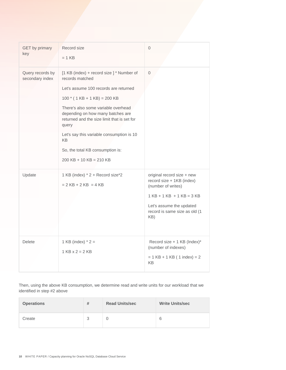| <b>GET</b> by primary               | Record size                                                                                                                      | $\mathbf{0}$                                                                                                                                                                     |  |
|-------------------------------------|----------------------------------------------------------------------------------------------------------------------------------|----------------------------------------------------------------------------------------------------------------------------------------------------------------------------------|--|
| key                                 | $= 1$ KB                                                                                                                         |                                                                                                                                                                                  |  |
| Query records by<br>secondary index | [1 KB (index) + record size ] * Number of<br>records matched                                                                     | $\mathbf{0}$                                                                                                                                                                     |  |
|                                     | Let's assume 100 records are returned                                                                                            |                                                                                                                                                                                  |  |
|                                     | $100 * (1 KB + 1 KB) = 200 KB$                                                                                                   |                                                                                                                                                                                  |  |
|                                     | There's also some variable overhead<br>depending on how many batches are<br>returned and the size limit that is set for<br>query |                                                                                                                                                                                  |  |
|                                     | Let's say this variable consumption is 10<br><b>KB</b>                                                                           |                                                                                                                                                                                  |  |
|                                     | So, the total KB consumption is:                                                                                                 |                                                                                                                                                                                  |  |
|                                     | $200$ KB + 10 KB = 210 KB                                                                                                        |                                                                                                                                                                                  |  |
| Update                              | 1 KB (index) * 2 + Record size*2<br>$= 2$ KB + 2 KB = 4 KB                                                                       | original record size + new<br>record size + 1KB (index)<br>(number of writes)<br>$1$ KB + 1 KB + 1 KB = 3 KB<br>Let's assume the updated<br>record is same size as old (1<br>KB) |  |
|                                     |                                                                                                                                  |                                                                                                                                                                                  |  |
| <b>Delete</b>                       | 1 KB (index) $* 2 =$<br>$1$ KB $x$ $2 = 2$ KB                                                                                    | Record size + 1 KB (Index)*<br>(number of indexes)<br>$= 1$ KB + 1 KB ( 1 index) = 2<br>KB                                                                                       |  |

Then, using the above KB consumption, we determine read and write units for our workload that we identified in step #2 above

| <b>Operations</b> | # | <b>Read Units/sec</b> | <b>Write Units/sec</b> |
|-------------------|---|-----------------------|------------------------|
| Create            | 3 |                       | 6                      |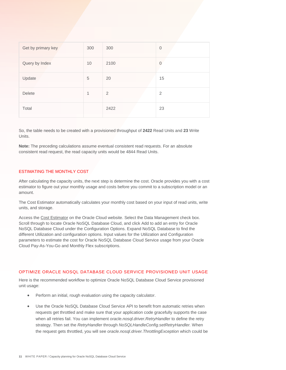| Get by primary key | 300 | 300            | $\mathbf{0}$   |
|--------------------|-----|----------------|----------------|
| Query by Index     | 10  | 2100           | $\mathbf{0}$   |
| Update             | 5   | 20             | 15             |
| Delete             | 1   | $\overline{2}$ | $\overline{2}$ |
| Total              |     | 2422           | 23             |

So, the table needs to be created with a provisioned throughput of **2422** Read Units and **23** Write Units.

**Note:** The preceding calculations assume eventual consistent read requests. For an absolute consistent read request, the read capacity units would be 4844 Read Units.

#### ESTIMATING THE MONTHLY COST

After calculating the capacity units, the next step is determine the cost. Oracle provides you with a cost estimator to figure out your monthly usage and costs before you commit to a subscription model or an amount.

The Cost Estimator automatically calculates your monthly cost based on your input of read units, write units, and storage.

Access the [Cost Estimator](https://www.oracle.com/cloud/cost-estimator.html) on the Oracle Cloud website. Select the Data Management check box. Scroll through to locate Oracle NoSQL Database Cloud, and click Add to add an entry for Oracle NoSQL Database Cloud under the Configuration Options. Expand NoSQL Database to find the different Utilization and configuration options. Input values for the Utilization and Configuration parameters to estimate the cost for Oracle NoSQL Database Cloud Service usage from your Oracle Cloud Pay-As-You-Go and Monthly Flex subscriptions.

#### <span id="page-10-0"></span>OPTIMIZE ORACLE NOSQL DATABASE CLOUD SERVICE PROVISIONED UNIT USAGE

Here is the recommended workflow to optimize Oracle NoSQL Database Cloud Service provisioned unit usage:

- Perform an initial, rough evaluation using the capacity calculator.
- Use the Oracle NoSQL Database Cloud Service API to benefit from automatic retries when requests get throttled and make sure that your application code gracefully supports the case when all retries fail. You can implement *oracle.nosql.driver.RetryHandler* to define the retry strategy. Then set the *RetryHandler* through *NoSQLHandleConfig.setRetryHandler.* When the request gets throttled, you will see *oracle.nosql.driver.ThrottlingException* which could be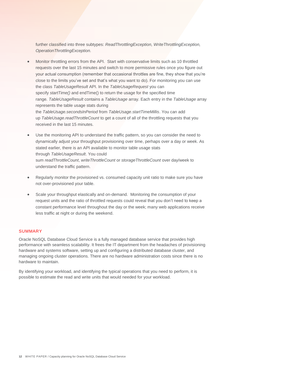further classified into three subtypes: *ReadThrottlingException, WriteThrottlingException, OperationThrottlingException.* 

- Monitor throttling errors from the API. Start with conservative limits such as 10 throttled requests over the last 15 minutes and switch to more permissive rules once you figure out your actual consumption (remember that occasional throttles are fine, they show that you're close to the limits you've set and that's what you want to do). For monitoring you can use the class *TableUsageResult* API. In the *TableUsageRequest* you can specify *startTime()* and endTime() to return the usage for the specified time range*. TableUsageResult* contains a *TableUsage* array. Each entry in the *TableUsage* array represents the table usage stats during the *TableUsage.secondsInPeriod* from *TableUsage.startTimeMillis*. You can add up *TableUsage.readThrottleCount* to get a count of all of the throttling requests that you received in the last 15 minutes.
- Use the monitoring API to understand the traffic pattern, so you can consider the need to dynamically adjust your throughput provisioning over time, perhaps over a day or week. As stated earlier, there is an API available to monitor table usage stats through *TableUsageResult*. You could sum *readThrottleCount*, *writeThrottleCount* or *storageThrottleCount* over day/week to understand the traffic pattern.
- Regularly monitor the provisioned vs. consumed capacity unit ratio to make sure you have not over-provisioned your table.
- Scale your throughput elastically and on-demand. Monitoring the consumption of your request units and the ratio of throttled requests could reveal that you don't need to keep a constant performance level throughout the day or the week; many web applications receive less traffic at night or during the weekend.

#### <span id="page-11-0"></span>SUMMARY

Oracle NoSQL Database Cloud Service is a fully managed database service that provides high performance with seamless scalability. It frees the IT department from the headaches of provisioning hardware and systems software, setting up and configuring a distributed database cluster, and managing ongoing cluster operations. There are no hardware administration costs since there is no hardware to maintain.

By identifying your workload, and identifying the typical operations that you need to perform, it is possible to estimate the read and write units that would needed for your workload.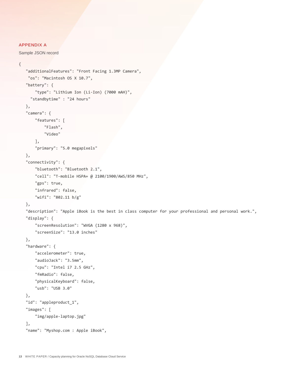#### <span id="page-12-0"></span>APPENDIX A

Sample JSON record

```
{
```

```
 "additionalFeatures": "Front Facing 1.3MP Camera",
 "os": "Macintosh OS X 10.7",
 "battery": {
     "type": "Lithium Ion (Li-Ion) (7000 mAH)",
   "standbytime" : "24 hours"
 },
 "camera": {
     "features": [
         "Flash",
         "Video"
     ],
     "primary": "5.0 megapixels"
 },
 "connectivity": {
     "bluetooth": "Bluetooth 2.1",
     "cell": "T-mobile HSPA+ @ 2100/1900/AWS/850 MHz",
     "gps": true,
     "infrared": false,
     "wifi": "802.11 b/g"
 },
 "description": "Apple iBook is the best in class computer for your professional and personal work.",
 "display": {
     "screenResolution": "WVGA (1280 x 968)",
     "screenSize": "13.0 inches"
 },
 "hardware": {
     "accelerometer": true,
     "audioJack": "3.5mm",
     "cpu": "Intel i7 2.5 GHz",
     "fmRadio": false,
     "physicalKeyboard": false,
     "usb": "USB 3.0"
 },
 "id": "appleproduct_1",
 "images": [
     "img/apple-laptop.jpg"
 ],
 "name": "Myshop.com : Apple iBook",
```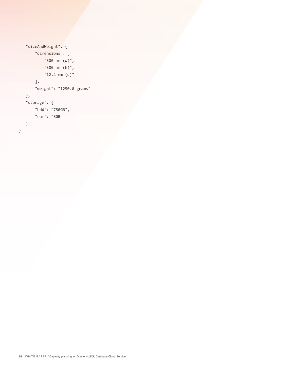```
 "sizeAndWeight": {
        "dimensions": [
            "300 mm (w)",
            "300 mm (h)",
            "12.4 mm (d)"
        ],
        "weight": "1250.0 grams"
   },
    "storage": {
        "hdd": "750GB",
        "ram": "8GB"
   }
}
```